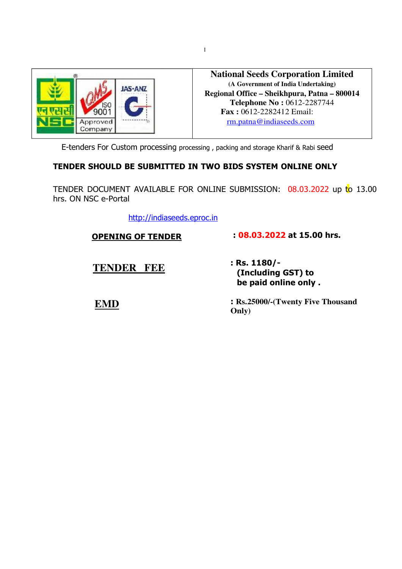

**National Seeds Corporation Limited (A Government of India Undertaking) Regional Office – Sheikhpura, Patna – 800014 Telephone No :** 0612-2287744  **Fax :** 0612-2282412 Email: rm.patna@indiaseeds.com

E-tenders For Custom processing processing , packing and storage Kharif & Rabi seed

#### **TENDER SHOULD BE SUBMITTED IN TWO BIDS SYSTEM ONLINE ONLY**

TENDER DOCUMENT AVAILABLE FOR ONLINE SUBMISSION: 08.03.2022 up to 13.00 hrs. ON NSC e-Portal

http://indiaseeds.eproc.in

**OPENING OF TENDER**

#### **: 08.03.2022 at 15.00 hrs.**

**TENDER FEE**

 **EMD**

**: Rs. 1180/- (Including GST) to be paid online only .** 

**: Rs.25000/-(Twenty Five Thousand Only)**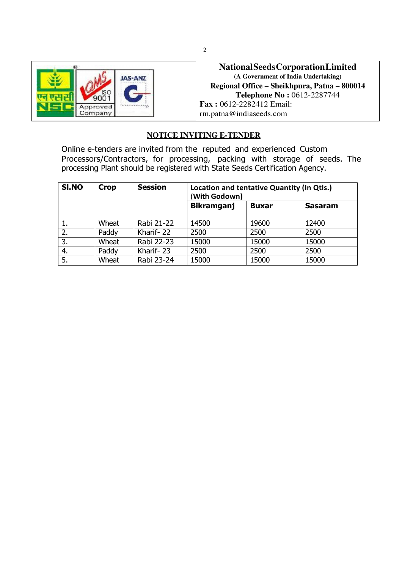

**National Seeds Corporation Limited (A Government of India Undertaking) Regional Office – Sheikhpura, Patna – 800014 Telephone No :** 0612-2287744 **Fax :** 0612-2282412 Email: rm.patna@indiaseeds.com

#### **NOTICE INVITING E-TENDER**

Online e-tenders are invited from the reputed and experienced Custom Processors/Contractors, for processing, packing with storage of seeds. The processing Plant should be registered with State Seeds Certification Agency.

| SI.NO | <b>Crop</b> | <b>Session</b> | Location and tentative Quantity (In Qtls.)<br>(With Godown) |              |                |
|-------|-------------|----------------|-------------------------------------------------------------|--------------|----------------|
|       |             |                | <b>Bikramganj</b>                                           | <b>Buxar</b> | <b>Sasaram</b> |
|       | Wheat       | Rabi 21-22     | 14500                                                       | 19600        | 12400          |
| 2.    | Paddy       | Kharif-22      | 2500                                                        | 2500         | 2500           |
| 3.    | Wheat       | Rabi 22-23     | 15000                                                       | 15000        | 15000          |
| 4.    | Paddy       | Kharif-23      | 2500                                                        | 2500         | 2500           |
| 5.    | Wheat       | Rabi 23-24     | 15000                                                       | 15000        | 15000          |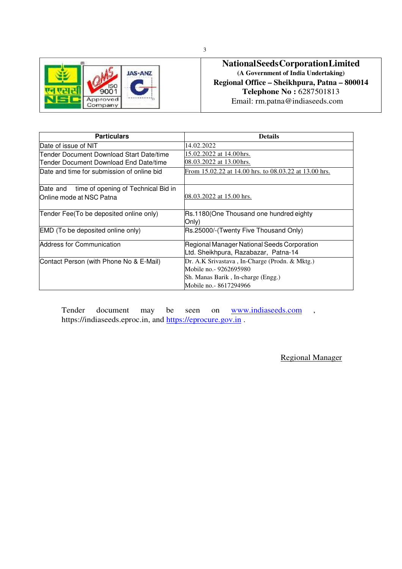|                     | <b>JAS-ANZ</b> |
|---------------------|----------------|
|                     |                |
| Approved<br>Company |                |

#### **National Seeds Corporation Limited (A Government of India Undertaking) Regional Office – Sheikhpura, Patna – 800014 Telephone No :** 6287501813 Email: rm.patna@indiaseeds.com

| <b>Particulars</b>                           | <b>Details</b>                                        |
|----------------------------------------------|-------------------------------------------------------|
| Date of issue of NIT                         | 14.02.2022                                            |
| Tender Document Download Start Date/time     | 15.02.2022 at 14.00hrs.                               |
| Tender Document Download End Date/time       | 08.03.2022 at 13.00 hrs.                              |
| Date and time for submission of online bid   | From 15.02.22 at 14.00 hrs. to 08.03.22 at 13.00 hrs. |
|                                              |                                                       |
| Date and time of opening of Technical Bid in |                                                       |
| lOnline mode at NSC Patna                    | 08.03.2022 at 15.00 hrs.                              |
|                                              |                                                       |
| Tender Fee(To be deposited online only)      | Rs.1180(One Thousand one hundred eighty               |
|                                              | Only)                                                 |
| <b>EMD</b> (To be deposited online only)     | Rs.25000/-(Twenty Five Thousand Only)                 |
| Address for Communication                    | Regional Manager National Seeds Corporation           |
|                                              | Ltd. Sheikhpura, Razabazar, Patna-14                  |
| Contact Person (with Phone No & E-Mail)      | Dr. A.K Srivastava, In-Charge (Prodn. & Mktg.)        |
|                                              | Mobile no. - 9262695980                               |
|                                              | Sh. Manas Barik, In-charge (Engg.)                    |
|                                              | Mobile no. - 8617294966                               |

Tender document may be seen on www.indiaseeds.com , https://indiaseeds.eproc.in, and https://eprocure.gov.in .

Regional Manager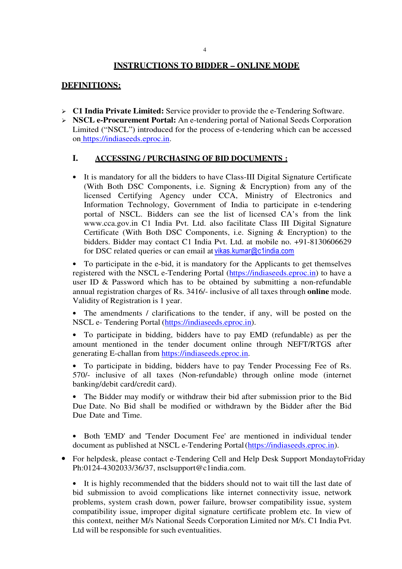#### **INSTRUCTIONS TO BIDDER – ONLINE MODE**

#### **DEFINITIONS:**

- **C1 India Private Limited:** Service provider to provide the e-Tendering Software.
- **NSCL e-Procurement Portal:** An e-tendering portal of National Seeds Corporation Limited ("NSCL") introduced for the process of e-tendering which can be accessed on https://indiaseeds.eproc.in.

#### **I. ACCESSING / PURCHASING OF BID DOCUMENTS :**

• It is mandatory for all the bidders to have Class-III Digital Signature Certificate (With Both DSC Components, i.e. Signing & Encryption) from any of the licensed Certifying Agency under CCA, Ministry of Electronics and Information Technology, Government of India to participate in e-tendering portal of NSCL. Bidders can see the list of licensed CA's from the link www.cca.gov.in C1 India Pvt. Ltd. also facilitate Class III Digital Signature Certificate (With Both DSC Components, i.e. Signing & Encryption) to the bidders. Bidder may contact C1 India Pvt. Ltd. at mobile no. +91-8130606629 for DSC related queries or can email at vikas.kumar@c1india.com

• To participate in the e-bid, it is mandatory for the Applicants to get themselves registered with the NSCL e-Tendering Portal (https://indiaseeds.eproc.in) to have a user ID & Password which has to be obtained by submitting a non-refundable annual registration charges of Rs. 3416/- inclusive of all taxes through **online** mode. Validity of Registration is 1 year.

• The amendments / clarifications to the tender, if any, will be posted on the NSCL e- Tendering Portal (https://indiaseeds.eproc.in).

• To participate in bidding, bidders have to pay EMD (refundable) as per the amount mentioned in the tender document online through NEFT/RTGS after generating E-challan from https://indiaseeds.eproc.in.

• To participate in bidding, bidders have to pay Tender Processing Fee of Rs. 570/- inclusive of all taxes (Non-refundable) through online mode (internet banking/debit card/credit card).

The Bidder may modify or withdraw their bid after submission prior to the Bid Due Date. No Bid shall be modified or withdrawn by the Bidder after the Bid Due Date and Time.

• Both 'EMD' and 'Tender Document Fee' are mentioned in individual tender document as published at NSCL e-Tendering Portal (https://indiaseeds.eproc.in).

• For helpdesk, please contact e-Tendering Cell and Help Desk Support MondaytoFriday Ph:0124-4302033/36/37, nsclsupport@c1india.com.

• It is highly recommended that the bidders should not to wait till the last date of bid submission to avoid complications like internet connectivity issue, network problems, system crash down, power failure, browser compatibility issue, system compatibility issue, improper digital signature certificate problem etc. In view of this context, neither M/s National Seeds Corporation Limited nor M/s. C1 India Pvt. Ltd will be responsible for such eventualities.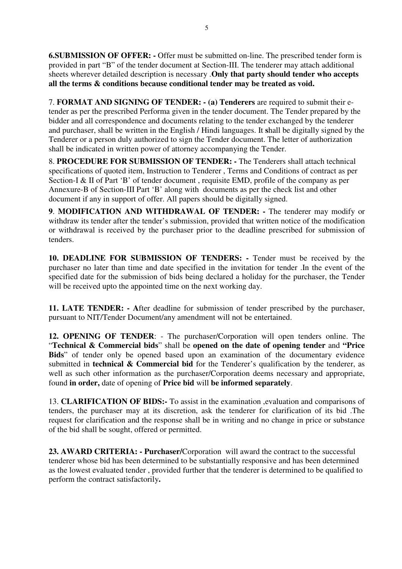**6.SUBMISSION OF OFFER: -** Offer must be submitted on-line. The prescribed tender form is provided in part "B" of the tender document at Section-III. The tenderer may attach additional sheets wherever detailed description is necessary .**Only that party should tender who accepts all the terms & conditions because conditional tender may be treated as void.** 

7. **FORMAT AND SIGNING OF TENDER: - (a) Tenderers** are required to submit their etender as per the prescribed Performa given in the tender document. The Tender prepared by the bidder and all correspondence and documents relating to the tender exchanged by the tenderer and purchaser, shall be written in the English / Hindi languages. It **s**hall be digitally signed by the Tenderer or a person duly authorized to sign the Tender document. The letter of authorization shall be indicated in written power of attorney accompanying the Tender.

8. **PROCEDURE FOR SUBMISSION OF TENDER: -** The Tenderers shall attach technical specifications of quoted item, Instruction to Tenderer , Terms and Conditions of contract as per Section-I & II of Part 'B' of tender document, requisite EMD, profile of the company as per Annexure-B of Section-III Part 'B' along with documents as per the check list and other document if any in support of offer. All papers should be digitally signed.

**9**. **MODIFICATION AND WITHDRAWAL OF TENDER: -** The tenderer may modify or withdraw its tender after the tender's submission, provided that written notice of the modification or withdrawal is received by the purchaser prior to the deadline prescribed for submission of tenders.

**10. DEADLINE FOR SUBMISSION OF TENDERS: -** Tender must be received by the purchaser no later than time and date specified in the invitation for tender .In the event of the specified date for the submission of bids being declared a holiday for the purchaser, the Tender will be received upto the appointed time on the next working day.

**11. LATE TENDER: - A**fter deadline for submission of tender prescribed by the purchaser, pursuant to NIT/Tender Document/any amendment will not be entertained.

**12. OPENING OF TENDER**: - The purchaser/Corporation will open tenders online. The "**Technical & Commercial bids**" shall be **opened on the date of opening tender** and **"Price**  Bids<sup>"</sup> of tender only be opened based upon an examination of the documentary evidence submitted in **technical & Commercial bid** for the Tenderer's qualification by the tenderer, as well as such other information as the purchaser/Corporation deems necessary and appropriate, found **in order,** date of opening of **Price bid** will **be informed separately**.

13. **CLARIFICATION OF BIDS:-** To assist in the examination ,evaluation and comparisons of tenders, the purchaser may at its discretion, ask the tenderer for clarification of its bid .The request for clarification and the response shall be in writing and no change in price or substance of the bid shall be sought, offered or permitted.

**23. AWARD CRITERIA: - Purchaser/**Corporation will award the contract to the successful tenderer whose bid has been determined to be substantially responsive and has been determined as the lowest evaluated tender , provided further that the tenderer is determined to be qualified to perform the contract satisfactorily**.**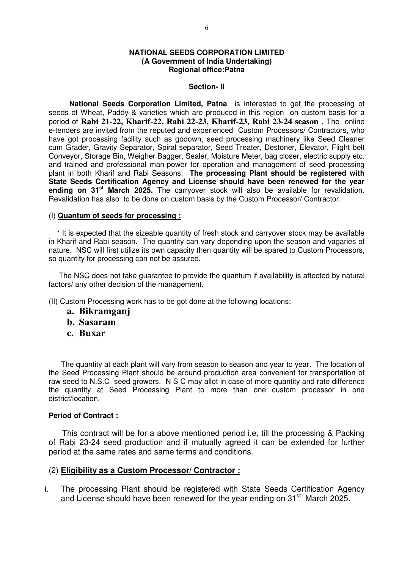#### **NATIONAL SEEDS CORPORATION LIMITED (A Government of India Undertaking) Regional office:Patna**

#### **Section- II**

 **National Seeds Corporation Limited, Patna** is interested to get the processing of seeds of Wheat, Paddy & varieties which are produced in this region on custom basis for a period of **Rabi 21-22, Kharif-22, Rabi 22-23, Kharif-23, Rabi 23-24 season** . The online e-tenders are invited from the reputed and experienced Custom Processors/ Contractors, who have got processing facility such as godown, seed processing machinery like Seed Cleaner cum Grader, Gravity Separator, Spiral separator, Seed Treater, Destoner, Elevator, Flight belt Conveyor, Storage Bin, Weigher Bagger, Sealer, Moisture Meter, bag closer, electric supply etc. and trained and professional man-power for operation and management of seed processing plant in both Kharif and Rabi Seasons. **The processing Plant should be registered with State Seeds Certification Agency and License should have been renewed for the year ending on 31st March 2025.** The carryover stock will also be available for revalidation. Revalidation has also to be done on custom basis by the Custom Processor/ Contractor.

#### (I) **Quantum of seeds for processing :**

 \* It is expected that the sizeable quantity of fresh stock and carryover stock may be available in Kharif and Rabi season. The quantity can vary depending upon the season and vagaries of nature. NSC will first utilize its own capacity then quantity will be spared to Custom Processors, so quantity for processing can not be assured.

 The NSC does not take guarantee to provide the quantum if availability is affected by natural factors/ any other decision of the management.

(II) Custom Processing work has to be got done at the following locations:

- **a. Bikramganj**
- **b. Sasaram**
- **c. Buxar**

 The quantity at each plant will vary from season to season and year to year. The location of the Seed Processing Plant should be around production area convenient for transportation of raw seed to N.S.C seed growers. N S C may allot in case of more quantity and rate difference the quantity at Seed Processing Plant to more than one custom processor in one district/location.

#### **Period of Contract :**

 This contract will be for a above mentioned period i.e, till the processing & Packing of Rabi 23-24 seed production and if mutually agreed it can be extended for further period at the same rates and same terms and conditions.

#### (2) **Eligibility as a Custom Processor/ Contractor :**

i. The processing Plant should be registered with State Seeds Certification Agency and License should have been renewed for the year ending on  $31<sup>st</sup>$  March 2025.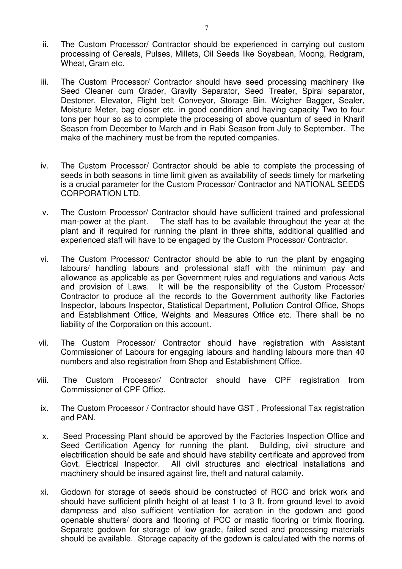- ii. The Custom Processor/ Contractor should be experienced in carrying out custom processing of Cereals, Pulses, Millets, Oil Seeds like Soyabean, Moong, Redgram, Wheat, Gram etc.
- iii. The Custom Processor/ Contractor should have seed processing machinery like Seed Cleaner cum Grader, Gravity Separator, Seed Treater, Spiral separator, Destoner, Elevator, Flight belt Conveyor, Storage Bin, Weigher Bagger, Sealer, Moisture Meter, bag closer etc. in good condition and having capacity Two to four tons per hour so as to complete the processing of above quantum of seed in Kharif Season from December to March and in Rabi Season from July to September. The make of the machinery must be from the reputed companies.
- iv. The Custom Processor/ Contractor should be able to complete the processing of seeds in both seasons in time limit given as availability of seeds timely for marketing is a crucial parameter for the Custom Processor/ Contractor and NATIONAL SEEDS CORPORATION LTD.
- v. The Custom Processor/ Contractor should have sufficient trained and professional man-power at the plant. The staff has to be available throughout the year at the plant and if required for running the plant in three shifts, additional qualified and experienced staff will have to be engaged by the Custom Processor/ Contractor.
- vi. The Custom Processor/ Contractor should be able to run the plant by engaging labours/ handling labours and professional staff with the minimum pay and allowance as applicable as per Government rules and regulations and various Acts and provision of Laws. It will be the responsibility of the Custom Processor/ Contractor to produce all the records to the Government authority like Factories Inspector, labours Inspector, Statistical Department, Pollution Control Office, Shops and Establishment Office, Weights and Measures Office etc. There shall be no liability of the Corporation on this account.
- vii. The Custom Processor/ Contractor should have registration with Assistant Commissioner of Labours for engaging labours and handling labours more than 40 numbers and also registration from Shop and Establishment Office.
- viii. The Custom Processor/ Contractor should have CPF registration from Commissioner of CPF Office.
- ix. The Custom Processor / Contractor should have GST , Professional Tax registration and PAN.
- x. Seed Processing Plant should be approved by the Factories Inspection Office and Seed Certification Agency for running the plant. Building, civil structure and electrification should be safe and should have stability certificate and approved from Govt. Electrical Inspector. All civil structures and electrical installations and machinery should be insured against fire, theft and natural calamity.
- xi. Godown for storage of seeds should be constructed of RCC and brick work and should have sufficient plinth height of at least 1 to 3 ft. from ground level to avoid dampness and also sufficient ventilation for aeration in the godown and good openable shutters/ doors and flooring of PCC or mastic flooring or trimix flooring. Separate godown for storage of low grade, failed seed and processing materials should be available. Storage capacity of the godown is calculated with the norms of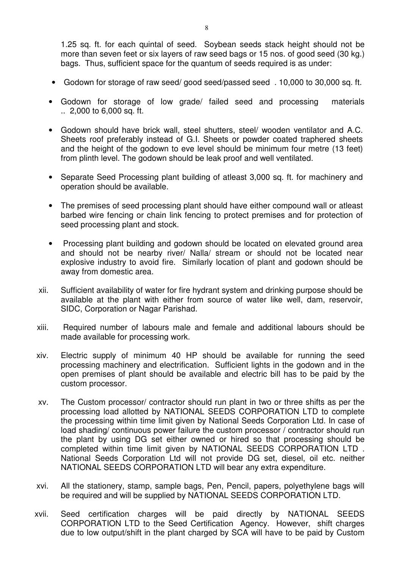1.25 sq. ft. for each quintal of seed. Soybean seeds stack height should not be more than seven feet or six layers of raw seed bags or 15 nos. of good seed (30 kg.) bags. Thus, sufficient space for the quantum of seeds required is as under:

- Godown for storage of raw seed/ good seed/passed seed . 10,000 to 30,000 sq. ft.
- Godown for storage of low grade/ failed seed and processing materials .. 2,000 to 6,000 sq. ft.
- Godown should have brick wall, steel shutters, steel/ wooden ventilator and A.C. Sheets roof preferably instead of G.I. Sheets or powder coated traphered sheets and the height of the godown to eve level should be minimum four metre (13 feet) from plinth level. The godown should be leak proof and well ventilated.
- Separate Seed Processing plant building of atleast 3,000 sq. ft. for machinery and operation should be available.
- The premises of seed processing plant should have either compound wall or atleast barbed wire fencing or chain link fencing to protect premises and for protection of seed processing plant and stock.
- Processing plant building and godown should be located on elevated ground area and should not be nearby river/ Nalla/ stream or should not be located near explosive industry to avoid fire. Similarly location of plant and godown should be away from domestic area.
- xii. Sufficient availability of water for fire hydrant system and drinking purpose should be available at the plant with either from source of water like well, dam, reservoir, SIDC, Corporation or Nagar Parishad.
- xiii. Required number of labours male and female and additional labours should be made available for processing work.
- xiv. Electric supply of minimum 40 HP should be available for running the seed processing machinery and electrification. Sufficient lights in the godown and in the open premises of plant should be available and electric bill has to be paid by the custom processor.
- xv. The Custom processor/ contractor should run plant in two or three shifts as per the processing load allotted by NATIONAL SEEDS CORPORATION LTD to complete the processing within time limit given by National Seeds Corporation Ltd. In case of load shading/ continuous power failure the custom processor / contractor should run the plant by using DG set either owned or hired so that processing should be completed within time limit given by NATIONAL SEEDS CORPORATION LTD . National Seeds Corporation Ltd will not provide DG set, diesel, oil etc. neither NATIONAL SEEDS CORPORATION LTD will bear any extra expenditure.
- xvi. All the stationery, stamp, sample bags, Pen, Pencil, papers, polyethylene bags will be required and will be supplied by NATIONAL SEEDS CORPORATION LTD.
- xvii. Seed certification charges will be paid directly by NATIONAL SEEDS CORPORATION LTD to the Seed Certification Agency. However, shift charges due to low output/shift in the plant charged by SCA will have to be paid by Custom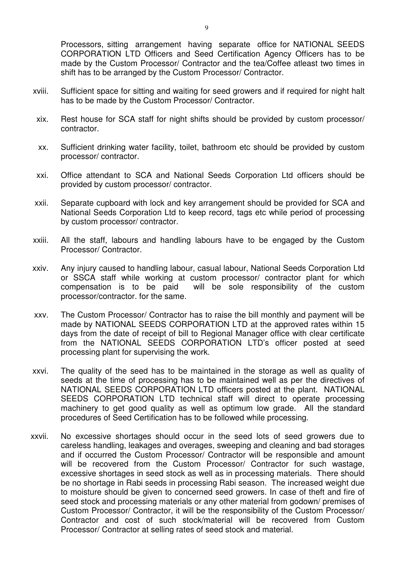Processors, sitting arrangement having separate office for NATIONAL SEEDS CORPORATION LTD Officers and Seed Certification Agency Officers has to be made by the Custom Processor/ Contractor and the tea/Coffee atleast two times in shift has to be arranged by the Custom Processor/ Contractor.

- xviii. Sufficient space for sitting and waiting for seed growers and if required for night halt has to be made by the Custom Processor/ Contractor.
- xix. Rest house for SCA staff for night shifts should be provided by custom processor/ contractor.
- xx. Sufficient drinking water facility, toilet, bathroom etc should be provided by custom processor/ contractor.
- xxi. Office attendant to SCA and National Seeds Corporation Ltd officers should be provided by custom processor/ contractor.
- xxii. Separate cupboard with lock and key arrangement should be provided for SCA and National Seeds Corporation Ltd to keep record, tags etc while period of processing by custom processor/ contractor.
- xxiii. All the staff, labours and handling labours have to be engaged by the Custom Processor/ Contractor.
- xxiv. Any injury caused to handling labour, casual labour, National Seeds Corporation Ltd or SSCA staff while working at custom processor/ contractor plant for which compensation is to be paid will be sole responsibility of the custom processor/contractor. for the same.
- xxv. The Custom Processor/ Contractor has to raise the bill monthly and payment will be made by NATIONAL SEEDS CORPORATION LTD at the approved rates within 15 days from the date of receipt of bill to Regional Manager office with clear certificate from the NATIONAL SEEDS CORPORATION LTD's officer posted at seed processing plant for supervising the work.
- xxvi. The quality of the seed has to be maintained in the storage as well as quality of seeds at the time of processing has to be maintained well as per the directives of NATIONAL SEEDS CORPORATION LTD officers posted at the plant. NATIONAL SEEDS CORPORATION LTD technical staff will direct to operate processing machinery to get good quality as well as optimum low grade. All the standard procedures of Seed Certification has to be followed while processing.
- xxvii. No excessive shortages should occur in the seed lots of seed growers due to careless handling, leakages and overages, sweeping and cleaning and bad storages and if occurred the Custom Processor/ Contractor will be responsible and amount will be recovered from the Custom Processor/ Contractor for such wastage, excessive shortages in seed stock as well as in processing materials. There should be no shortage in Rabi seeds in processing Rabi season. The increased weight due to moisture should be given to concerned seed growers. In case of theft and fire of seed stock and processing materials or any other material from godown/ premises of Custom Processor/ Contractor, it will be the responsibility of the Custom Processor/ Contractor and cost of such stock/material will be recovered from Custom Processor/ Contractor at selling rates of seed stock and material.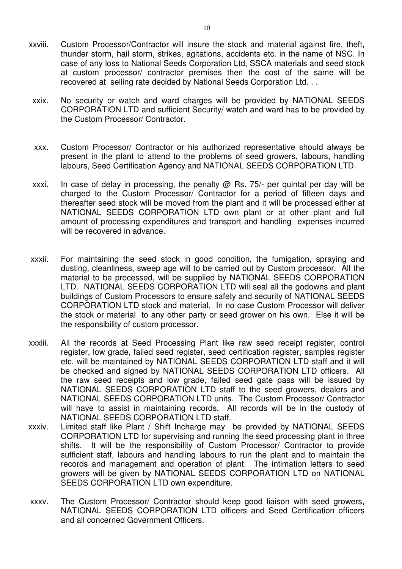- xxviii. Custom Processor/Contractor will insure the stock and material against fire, theft, thunder storm, hail storm, strikes, agitations, accidents etc. in the name of NSC. In case of any loss to National Seeds Corporation Ltd, SSCA materials and seed stock at custom processor/ contractor premises then the cost of the same will be recovered at selling rate decided by National Seeds Corporation Ltd. . .
	- xxix. No security or watch and ward charges will be provided by NATIONAL SEEDS CORPORATION LTD and sufficient Security/ watch and ward has to be provided by the Custom Processor/ Contractor.
	- xxx. Custom Processor/ Contractor or his authorized representative should always be present in the plant to attend to the problems of seed growers, labours, handling labours, Seed Certification Agency and NATIONAL SEEDS CORPORATION LTD.
	- xxxi. In case of delay in processing, the penalty  $\omega$  Rs. 75/- per quintal per day will be charged to the Custom Processor/ Contractor for a period of fifteen days and thereafter seed stock will be moved from the plant and it will be processed either at NATIONAL SEEDS CORPORATION LTD own plant or at other plant and full amount of processing expenditures and transport and handling expenses incurred will be recovered in advance.
- xxxii. For maintaining the seed stock in good condition, the fumigation, spraying and dusting, cleanliness, sweep age will to be carried out by Custom processor. All the material to be processed, will be supplied by NATIONAL SEEDS CORPORATION LTD. NATIONAL SEEDS CORPORATION LTD will seal all the godowns and plant buildings of Custom Processors to ensure safety and security of NATIONAL SEEDS CORPORATION LTD stock and material. In no case Custom Processor will deliver the stock or material to any other party or seed grower on his own. Else it will be the responsibility of custom processor.
- xxxiii. All the records at Seed Processing Plant like raw seed receipt register, control register, low grade, failed seed register, seed certification register, samples register etc. will be maintained by NATIONAL SEEDS CORPORATION LTD staff and it will be checked and signed by NATIONAL SEEDS CORPORATION LTD officers. All the raw seed receipts and low grade, failed seed gate pass will be issued by NATIONAL SEEDS CORPORATION LTD staff to the seed growers, dealers and NATIONAL SEEDS CORPORATION LTD units. The Custom Processor/ Contractor will have to assist in maintaining records. All records will be in the custody of NATIONAL SEEDS CORPORATION LTD staff.
- xxxiv. Limited staff like Plant / Shift Incharge may be provided by NATIONAL SEEDS CORPORATION LTD for supervising and running the seed processing plant in three shifts. It will be the responsibility of Custom Processor/ Contractor to provide sufficient staff, labours and handling labours to run the plant and to maintain the records and management and operation of plant. The intimation letters to seed growers will be given by NATIONAL SEEDS CORPORATION LTD on NATIONAL SEEDS CORPORATION LTD own expenditure.
- xxxv. The Custom Processor/ Contractor should keep good liaison with seed growers, NATIONAL SEEDS CORPORATION LTD officers and Seed Certification officers and all concerned Government Officers.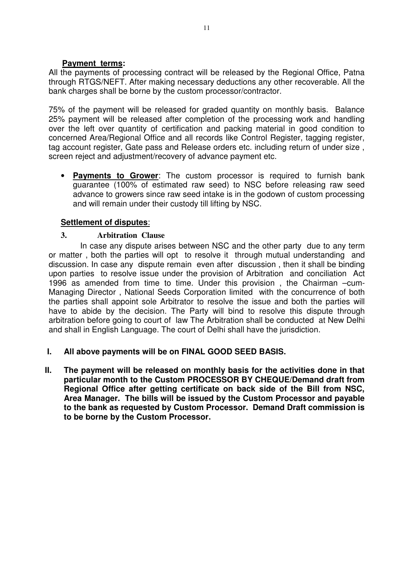#### **Payment terms:**

All the payments of processing contract will be released by the Regional Office, Patna through RTGS/NEFT. After making necessary deductions any other recoverable. All the bank charges shall be borne by the custom processor/contractor.

75% of the payment will be released for graded quantity on monthly basis. Balance 25% payment will be released after completion of the processing work and handling over the left over quantity of certification and packing material in good condition to concerned Area/Regional Office and all records like Control Register, tagging register, tag account register, Gate pass and Release orders etc. including return of under size , screen reject and adjustment/recovery of advance payment etc.

• **Payments to Grower**: The custom processor is required to furnish bank guarantee (100% of estimated raw seed) to NSC before releasing raw seed advance to growers since raw seed intake is in the godown of custom processing and will remain under their custody till lifting by NSC.

### **Settlement of disputes**:

### **3. Arbitration Clause**

 In case any dispute arises between NSC and the other party due to any term or matter , both the parties will opt to resolve it through mutual understanding and discussion. In case any dispute remain even after discussion , then it shall be binding upon parties to resolve issue under the provision of Arbitration and conciliation Act 1996 as amended from time to time. Under this provision , the Chairman –cum-Managing Director , National Seeds Corporation limited with the concurrence of both the parties shall appoint sole Arbitrator to resolve the issue and both the parties will have to abide by the decision. The Party will bind to resolve this dispute through arbitration before going to court of law The Arbitration shall be conducted at New Delhi and shall in English Language. The court of Delhi shall have the jurisdiction.

### **I. All above payments will be on FINAL GOOD SEED BASIS.**

**II. The payment will be released on monthly basis for the activities done in that particular month to the Custom PROCESSOR BY CHEQUE/Demand draft from Regional Office after getting certificate on back side of the Bill from NSC, Area Manager. The bills will be issued by the Custom Processor and payable to the bank as requested by Custom Processor. Demand Draft commission is to be borne by the Custom Processor.**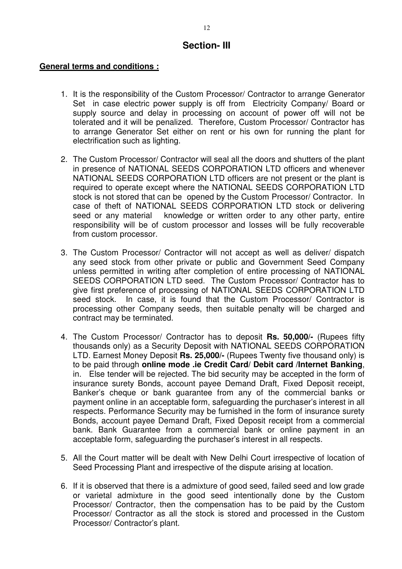## **Section- III**

#### **General terms and conditions :**

- 1. It is the responsibility of the Custom Processor/ Contractor to arrange Generator Set in case electric power supply is off from Electricity Company/ Board or supply source and delay in processing on account of power off will not be tolerated and it will be penalized. Therefore, Custom Processor/ Contractor has to arrange Generator Set either on rent or his own for running the plant for electrification such as lighting.
- 2. The Custom Processor/ Contractor will seal all the doors and shutters of the plant in presence of NATIONAL SEEDS CORPORATION LTD officers and whenever NATIONAL SEEDS CORPORATION LTD officers are not present or the plant is required to operate except where the NATIONAL SEEDS CORPORATION LTD stock is not stored that can be opened by the Custom Processor/ Contractor. In case of theft of NATIONAL SEEDS CORPORATION LTD stock or delivering seed or any material knowledge or written order to any other party, entire responsibility will be of custom processor and losses will be fully recoverable from custom processor.
- 3. The Custom Processor/ Contractor will not accept as well as deliver/ dispatch any seed stock from other private or public and Government Seed Company unless permitted in writing after completion of entire processing of NATIONAL SEEDS CORPORATION LTD seed. The Custom Processor/ Contractor has to give first preference of processing of NATIONAL SEEDS CORPORATION LTD seed stock. In case, it is found that the Custom Processor/ Contractor is processing other Company seeds, then suitable penalty will be charged and contract may be terminated.
- 4. The Custom Processor/ Contractor has to deposit **Rs. 50,000/-** (Rupees fifty thousands only) as a Security Deposit with NATIONAL SEEDS CORPORATION LTD. Earnest Money Deposit **Rs. 25,000/-** (Rupees Twenty five thousand only) is to be paid through **online mode .ie Credit Card/ Debit card /Internet Banking**, in. Else tender will be rejected. The bid security may be accepted in the form of insurance surety Bonds, account payee Demand Draft, Fixed Deposit receipt, Banker's cheque or bank guarantee from any of the commercial banks or payment online in an acceptable form, safeguarding the purchaser's interest in all respects. Performance Security may be furnished in the form of insurance surety Bonds, account payee Demand Draft, Fixed Deposit receipt from a commercial bank. Bank Guarantee from a commercial bank or online payment in an acceptable form, safeguarding the purchaser's interest in all respects.
- 5. All the Court matter will be dealt with New Delhi Court irrespective of location of Seed Processing Plant and irrespective of the dispute arising at location.
- 6. If it is observed that there is a admixture of good seed, failed seed and low grade or varietal admixture in the good seed intentionally done by the Custom Processor/ Contractor, then the compensation has to be paid by the Custom Processor/ Contractor as all the stock is stored and processed in the Custom Processor/ Contractor's plant.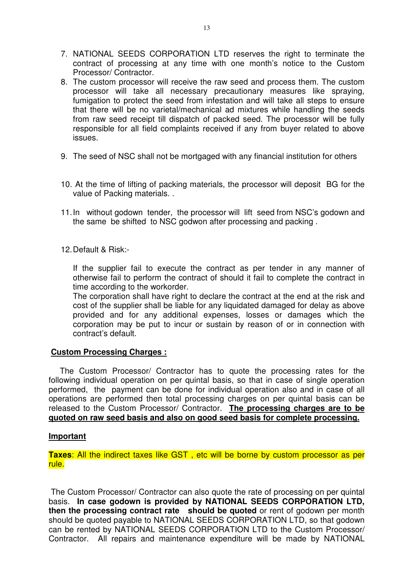- 7. NATIONAL SEEDS CORPORATION LTD reserves the right to terminate the contract of processing at any time with one month's notice to the Custom Processor/ Contractor.
- 8. The custom processor will receive the raw seed and process them. The custom processor will take all necessary precautionary measures like spraying, fumigation to protect the seed from infestation and will take all steps to ensure that there will be no varietal/mechanical ad mixtures while handling the seeds from raw seed receipt till dispatch of packed seed. The processor will be fully responsible for all field complaints received if any from buyer related to above issues.
- 9. The seed of NSC shall not be mortgaged with any financial institution for others
- 10. At the time of lifting of packing materials, the processor will deposit BG for the value of Packing materials. .
- 11. In without godown tender, the processor will lift seed from NSC's godown and the same be shifted to NSC godwon after processing and packing .
- 12. Default & Risk:-

If the supplier fail to execute the contract as per tender in any manner of otherwise fail to perform the contract of should it fail to complete the contract in time according to the workorder.

The corporation shall have right to declare the contract at the end at the risk and cost of the supplier shall be liable for any liquidated damaged for delay as above provided and for any additional expenses, losses or damages which the corporation may be put to incur or sustain by reason of or in connection with contract's default.

#### **Custom Processing Charges :**

 The Custom Processor/ Contractor has to quote the processing rates for the following individual operation on per quintal basis, so that in case of single operation performed, the payment can be done for individual operation also and in case of all operations are performed then total processing charges on per quintal basis can be released to the Custom Processor/ Contractor. **The processing charges are to be quoted on raw seed basis and also on good seed basis for complete processing.** 

#### **Important**

**Taxes**: All the indirect taxes like GST , etc will be borne by custom processor as per rule.

 The Custom Processor/ Contractor can also quote the rate of processing on per quintal basis. **In case godown is provided by NATIONAL SEEDS CORPORATION LTD, then the processing contract rate should be quoted** or rent of godown per month should be quoted payable to NATIONAL SEEDS CORPORATION LTD, so that godown can be rented by NATIONAL SEEDS CORPORATION LTD to the Custom Processor/ Contractor. All repairs and maintenance expenditure will be made by NATIONAL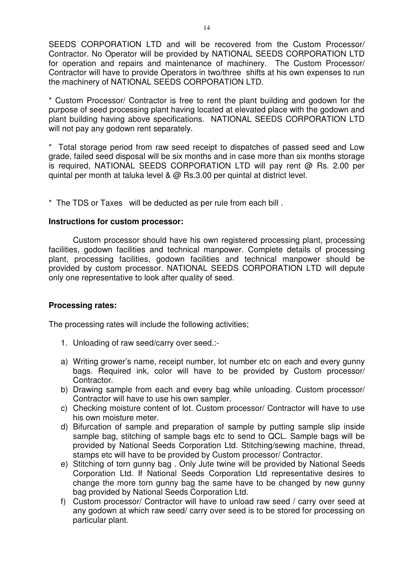SEEDS CORPORATION LTD and will be recovered from the Custom Processor/ Contractor. No Operator will be provided by NATIONAL SEEDS CORPORATION LTD for operation and repairs and maintenance of machinery. The Custom Processor/ Contractor will have to provide Operators in two/three shifts at his own expenses to run the machinery of NATIONAL SEEDS CORPORATION LTD.

\* Custom Processor/ Contractor is free to rent the plant building and godown for the purpose of seed processing plant having located at elevated place with the godown and plant building having above specifications. NATIONAL SEEDS CORPORATION LTD will not pay any godown rent separately.

\* Total storage period from raw seed receipt to dispatches of passed seed and Low grade, failed seed disposal will be six months and in case more than six months storage is required, NATIONAL SEEDS CORPORATION LTD will pay rent @ Rs. 2.00 per quintal per month at taluka level & @ Rs.3.00 per quintal at district level.

\* The TDS or Taxes will be deducted as per rule from each bill .

#### **Instructions for custom processor:**

 Custom processor should have his own registered processing plant, processing facilities, godown facilities and technical manpower. Complete details of processing plant, processing facilities, godown facilities and technical manpower should be provided by custom processor. NATIONAL SEEDS CORPORATION LTD will depute only one representative to look after quality of seed.

#### **Processing rates:**

The processing rates will include the following activities;

- 1. Unloading of raw seed/carry over seed.:-
- a) Writing grower's name, receipt number, lot number etc on each and every gunny bags. Required ink, color will have to be provided by Custom processor/ Contractor.
- b) Drawing sample from each and every bag while unloading. Custom processor/ Contractor will have to use his own sampler.
- c) Checking moisture content of lot. Custom processor/ Contractor will have to use his own moisture meter.
- d) Bifurcation of sample and preparation of sample by putting sample slip inside sample bag, stitching of sample bags etc to send to QCL. Sample bags will be provided by National Seeds Corporation Ltd. Stitching/sewing machine, thread, stamps etc will have to be provided by Custom processor/ Contractor.
- e) Stitching of torn gunny bag . Only Jute twine will be provided by National Seeds Corporation Ltd. If National Seeds Corporation Ltd representative desires to change the more torn gunny bag the same have to be changed by new gunny bag provided by National Seeds Corporation Ltd.
- f) Custom processor/ Contractor will have to unload raw seed / carry over seed at any godown at which raw seed/ carry over seed is to be stored for processing on particular plant.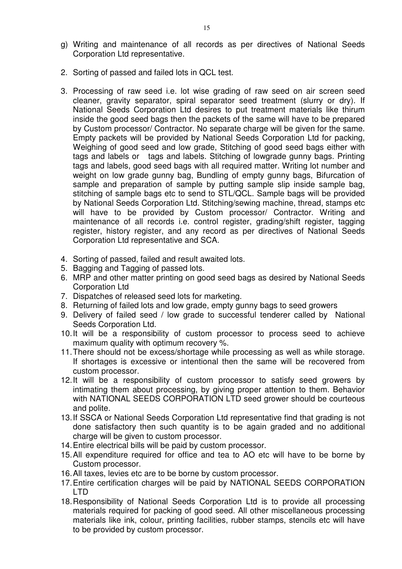2. Sorting of passed and failed lots in QCL test.

Corporation Ltd representative.

- 3. Processing of raw seed i.e. lot wise grading of raw seed on air screen seed cleaner, gravity separator, spiral separator seed treatment (slurry or dry). If National Seeds Corporation Ltd desires to put treatment materials like thirum inside the good seed bags then the packets of the same will have to be prepared by Custom processor/ Contractor. No separate charge will be given for the same. Empty packets will be provided by National Seeds Corporation Ltd for packing, Weighing of good seed and low grade, Stitching of good seed bags either with tags and labels or tags and labels. Stitching of lowgrade gunny bags. Printing tags and labels, good seed bags with all required matter. Writing lot number and weight on low grade gunny bag, Bundling of empty gunny bags, Bifurcation of sample and preparation of sample by putting sample slip inside sample bag, stitching of sample bags etc to send to STL/QCL. Sample bags will be provided by National Seeds Corporation Ltd. Stitching/sewing machine, thread, stamps etc will have to be provided by Custom processor/ Contractor. Writing and maintenance of all records i.e. control register, grading/shift register, tagging register, history register, and any record as per directives of National Seeds Corporation Ltd representative and SCA.
- 4. Sorting of passed, failed and result awaited lots.
- 5. Bagging and Tagging of passed lots.
- 6. MRP and other matter printing on good seed bags as desired by National Seeds Corporation Ltd
- 7. Dispatches of released seed lots for marketing.
- 8. Returning of failed lots and low grade, empty gunny bags to seed growers
- 9. Delivery of failed seed / low grade to successful tenderer called by National Seeds Corporation Ltd.
- 10. It will be a responsibility of custom processor to process seed to achieve maximum quality with optimum recovery %.
- 11. There should not be excess/shortage while processing as well as while storage. If shortages is excessive or intentional then the same will be recovered from custom processor.
- 12. It will be a responsibility of custom processor to satisfy seed growers by intimating them about processing, by giving proper attention to them. Behavior with NATIONAL SEEDS CORPORATION LTD seed grower should be courteous and polite.
- 13. If SSCA or National Seeds Corporation Ltd representative find that grading is not done satisfactory then such quantity is to be again graded and no additional charge will be given to custom processor.
- 14. Entire electrical bills will be paid by custom processor.
- 15. All expenditure required for office and tea to AO etc will have to be borne by Custom processor.
- 16. All taxes, levies etc are to be borne by custom processor.
- 17. Entire certification charges will be paid by NATIONAL SEEDS CORPORATION LTD
- 18. Responsibility of National Seeds Corporation Ltd is to provide all processing materials required for packing of good seed. All other miscellaneous processing materials like ink, colour, printing facilities, rubber stamps, stencils etc will have to be provided by custom processor.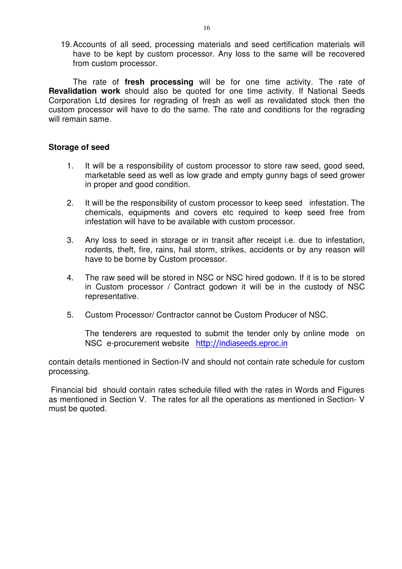19. Accounts of all seed, processing materials and seed certification materials will have to be kept by custom processor. Any loss to the same will be recovered from custom processor.

 The rate of **fresh processing** will be for one time activity. The rate of **Revalidation work** should also be quoted for one time activity. If National Seeds Corporation Ltd desires for regrading of fresh as well as revalidated stock then the custom processor will have to do the same. The rate and conditions for the regrading will remain same.

#### **Storage of seed**

- 1. It will be a responsibility of custom processor to store raw seed, good seed, marketable seed as well as low grade and empty gunny bags of seed grower in proper and good condition.
- 2. It will be the responsibility of custom processor to keep seed infestation. The chemicals, equipments and covers etc required to keep seed free from infestation will have to be available with custom processor.
- 3. Any loss to seed in storage or in transit after receipt i.e. due to infestation, rodents, theft, fire, rains, hail storm, strikes, accidents or by any reason will have to be borne by Custom processor.
- 4. The raw seed will be stored in NSC or NSC hired godown. If it is to be stored in Custom processor / Contract godown it will be in the custody of NSC representative.
- 5. Custom Processor/ Contractor cannot be Custom Producer of NSC.

The tenderers are requested to submit the tender only by online mode on NSC e-procurement website http://indiaseeds.eproc.in

contain details mentioned in Section-IV and should not contain rate schedule for custom processing.

 Financial bid should contain rates schedule filled with the rates in Words and Figures as mentioned in Section V. The rates for all the operations as mentioned in Section- V must be quoted.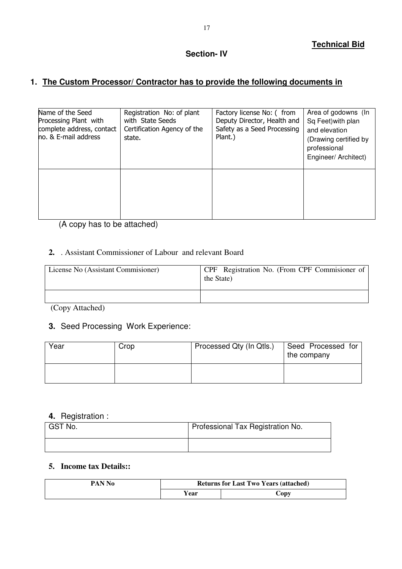#### **Section- IV**

# **1. The Custom Processor/ Contractor has to provide the following documents in**

| Name of the Seed<br>Processing Plant with<br>complete address, contact<br>no. & E-mail address | Registration No: of plant<br>with State Seeds<br>Certification Agency of the<br>state. | Factory license No: (from<br>Deputy Director, Health and<br>Safety as a Seed Processing<br>Plant.) | Area of godowns (In<br>Sq Feet) with plan<br>and elevation<br>(Drawing certified by<br>professional<br>Engineer/ Architect) |
|------------------------------------------------------------------------------------------------|----------------------------------------------------------------------------------------|----------------------------------------------------------------------------------------------------|-----------------------------------------------------------------------------------------------------------------------------|
|                                                                                                |                                                                                        |                                                                                                    |                                                                                                                             |

(A copy has to be attached)

#### **2.** . Assistant Commissioner of Labour and relevant Board

| License No (Assistant Commissioner) | CPF Registration No. (From CPF Commissioner of<br>the State) |
|-------------------------------------|--------------------------------------------------------------|
|                                     |                                                              |

(Copy Attached)

## **3.** Seed Processing Work Experience:

| Year | Crop | Processed Qty (In Qtls.) | Seed Processed for<br>the company |
|------|------|--------------------------|-----------------------------------|
|      |      |                          |                                   |

## **4.** Registration :

| GST No. | Professional Tax Registration No. |
|---------|-----------------------------------|
|         |                                   |

### **5. Income tax Details::**

| PAN No | <b>Returns for Last Two Years (attached)</b> |               |  |  |
|--------|----------------------------------------------|---------------|--|--|
|        | r ear                                        | $\dot{C}$ opv |  |  |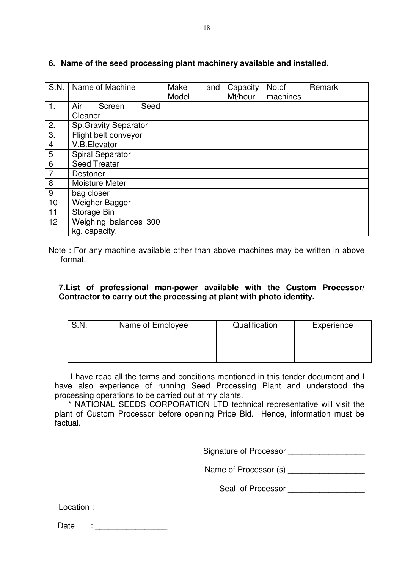|                 | S.N.   Name of Machine       | Make  | and | Capacity | No.of    | Remark |
|-----------------|------------------------------|-------|-----|----------|----------|--------|
|                 |                              | Model |     | Mt/hour  | machines |        |
| 1.              | Air<br>Seed<br>Screen        |       |     |          |          |        |
|                 | Cleaner                      |       |     |          |          |        |
| 2.              | <b>Sp. Gravity Separator</b> |       |     |          |          |        |
| 3.              | Flight belt conveyor         |       |     |          |          |        |
| 4               | V.B.Elevator                 |       |     |          |          |        |
| 5               | <b>Spiral Separator</b>      |       |     |          |          |        |
| $6\phantom{1}6$ | <b>Seed Treater</b>          |       |     |          |          |        |
| $\overline{7}$  | <b>Destoner</b>              |       |     |          |          |        |
| 8               | <b>Moisture Meter</b>        |       |     |          |          |        |
| 9               | bag closer                   |       |     |          |          |        |
| 10              | Weigher Bagger               |       |     |          |          |        |
| 11              | Storage Bin                  |       |     |          |          |        |
| 12 <sup>2</sup> | Weighing balances 300        |       |     |          |          |        |
|                 | kg. capacity.                |       |     |          |          |        |

#### **6. Name of the seed processing plant machinery available and installed.**

Note : For any machine available other than above machines may be written in above format.

#### **7.List of professional man-power available with the Custom Processor/ Contractor to carry out the processing at plant with photo identity.**

| S.N. | Name of Employee | Qualification | Experience |
|------|------------------|---------------|------------|
|      |                  |               |            |

 I have read all the terms and conditions mentioned in this tender document and I have also experience of running Seed Processing Plant and understood the processing operations to be carried out at my plants.

 \* NATIONAL SEEDS CORPORATION LTD technical representative will visit the plant of Custom Processor before opening Price Bid. Hence, information must be factual.

Signature of Processor **Example 20** 

Name of Processor (s)

Seal of Processor \_\_\_\_\_\_\_\_\_\_\_\_\_\_\_\_\_

| Date |  |
|------|--|
|      |  |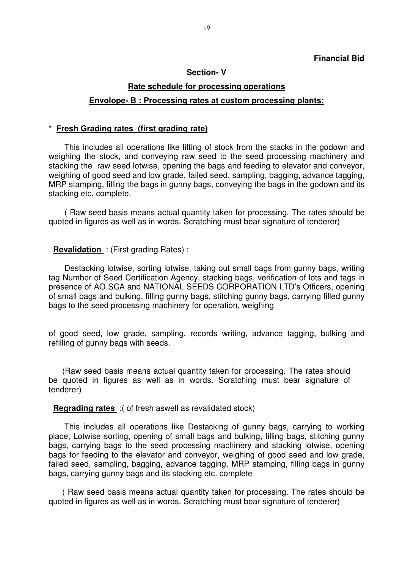#### **Section- V**

# **Rate schedule for processing operations Envolope- B : Processing rates at custom processing plants:**

#### \* **Fresh Grading rates (first grading rate)**

 This includes all operations like lifting of stock from the stacks in the godown and weighing the stock, and conveying raw seed to the seed processing machinery and stacking the raw seed lotwise, opening the bags and feeding to elevator and conveyor, weighing of good seed and low grade, failed seed, sampling, bagging, advance tagging, MRP stamping, filling the bags in gunny bags, conveying the bags in the godown and its stacking etc. complete.

 ( Raw seed basis means actual quantity taken for processing. The rates should be quoted in figures as well as in words. Scratching must bear signature of tenderer)

#### **Revalidation** : (First grading Rates) :

 Destacking lotwise, sorting lotwise, taking out small bags from gunny bags, writing tag Number of Seed Certification Agency, stacking bags, verification of lots and tags in presence of AO SCA and NATIONAL SEEDS CORPORATION LTD's Officers, opening of small bags and bulking, filling gunny bags, stitching gunny bags, carrying filled gunny bags to the seed processing machinery for operation, weighing

of good seed, low grade, sampling, records writing, advance tagging, bulking and refilling of gunny bags with seeds.

 (Raw seed basis means actual quantity taken for processing. The rates should be quoted in figures as well as in words. Scratching must bear signature of tenderer)

**Regrading rates** :( of fresh aswell as revalidated stock)

 This includes all operations like Destacking of gunny bags, carrying to working place, Lotwise sorting, opening of small bags and bulking, filling bags, stitching gunny bags, carrying bags to the seed processing machinery and stacking lotwise, opening bags for feeding to the elevator and conveyor, weighing of good seed and low grade, failed seed, sampling, bagging, advance tagging, MRP stamping, filling bags in gunny bags, carrying gunny bags and its stacking etc. complete

 ( Raw seed basis means actual quantity taken for processing. The rates should be quoted in figures as well as in words. Scratching must bear signature of tenderer)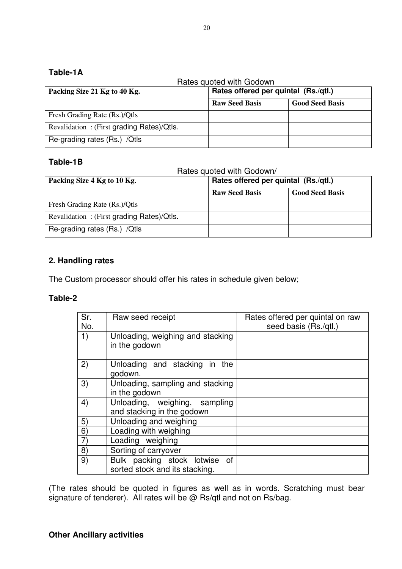# **Table-1A**

|                                           | Rates quoted with Godown             |                        |
|-------------------------------------------|--------------------------------------|------------------------|
| Packing Size 21 Kg to 40 Kg.              | Rates offered per quintal (Rs./qtl.) |                        |
|                                           | <b>Raw Seed Basis</b>                | <b>Good Seed Basis</b> |
| Fresh Grading Rate (Rs.)/Qtls             |                                      |                        |
| Revalidation: (First grading Rates)/Qtls. |                                      |                        |
| Re-grading rates (Rs.) / Qtls             |                                      |                        |

# **Table-1B**

|                                           | Rates quoted with Godown/            |                        |
|-------------------------------------------|--------------------------------------|------------------------|
| Packing Size 4 Kg to 10 Kg.               | Rates offered per quintal (Rs./qtl.) |                        |
|                                           | <b>Raw Seed Basis</b>                | <b>Good Seed Basis</b> |
| Fresh Grading Rate (Rs.)/Qtls             |                                      |                        |
| Revalidation: (First grading Rates)/Qtls. |                                      |                        |
| Re-grading rates (Rs.) / Qtls             |                                      |                        |

# **2. Handling rates**

The Custom processor should offer his rates in schedule given below;

### **Table-2**

| Sr.<br>No. | Raw seed receipt                                                | Rates offered per quintal on raw<br>seed basis (Rs./qtl.) |
|------------|-----------------------------------------------------------------|-----------------------------------------------------------|
| 1)         | Unloading, weighing and stacking<br>in the godown               |                                                           |
| 2)         | Unloading and stacking in the<br>godown.                        |                                                           |
| 3)         | Unloading, sampling and stacking<br>in the godown               |                                                           |
| 4)         | Unloading, weighing, sampling<br>and stacking in the godown     |                                                           |
| 5)         | Unloading and weighing                                          |                                                           |
| 6)         | Loading with weighing                                           |                                                           |
|            | Loading weighing                                                |                                                           |
| 8)         | Sorting of carryover                                            |                                                           |
| 9)         | Bulk packing stock lotwise of<br>sorted stock and its stacking. |                                                           |

(The rates should be quoted in figures as well as in words. Scratching must bear signature of tenderer). All rates will be @ Rs/qtl and not on Rs/bag.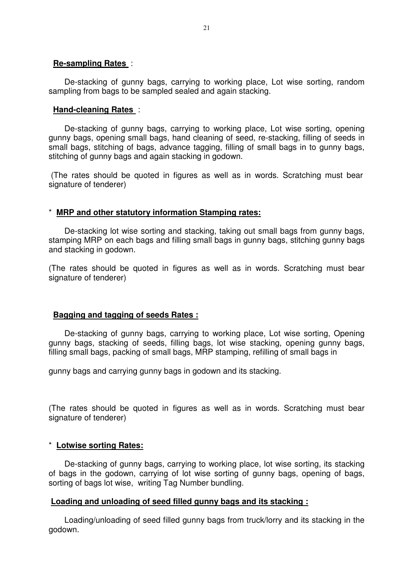#### **Re-sampling Rates** :

 De-stacking of gunny bags, carrying to working place, Lot wise sorting, random sampling from bags to be sampled sealed and again stacking.

#### **Hand-cleaning Rates** :

 De-stacking of gunny bags, carrying to working place, Lot wise sorting, opening gunny bags, opening small bags, hand cleaning of seed, re-stacking, filling of seeds in small bags, stitching of bags, advance tagging, filling of small bags in to gunny bags, stitching of gunny bags and again stacking in godown.

 (The rates should be quoted in figures as well as in words. Scratching must bear signature of tenderer)

#### \* **MRP and other statutory information Stamping rates:**

 De-stacking lot wise sorting and stacking, taking out small bags from gunny bags, stamping MRP on each bags and filling small bags in gunny bags, stitching gunny bags and stacking in godown.

(The rates should be quoted in figures as well as in words. Scratching must bear signature of tenderer)

#### **Bagging and tagging of seeds Rates :**

 De-stacking of gunny bags, carrying to working place, Lot wise sorting, Opening gunny bags, stacking of seeds, filling bags, lot wise stacking, opening gunny bags, filling small bags, packing of small bags, MRP stamping, refilling of small bags in

gunny bags and carrying gunny bags in godown and its stacking.

(The rates should be quoted in figures as well as in words. Scratching must bear signature of tenderer)

#### \* **Lotwise sorting Rates:**

 De-stacking of gunny bags, carrying to working place, lot wise sorting, its stacking of bags in the godown, carrying of lot wise sorting of gunny bags, opening of bags, sorting of bags lot wise, writing Tag Number bundling.

#### **Loading and unloading of seed filled gunny bags and its stacking :**

 Loading/unloading of seed filled gunny bags from truck/lorry and its stacking in the godown.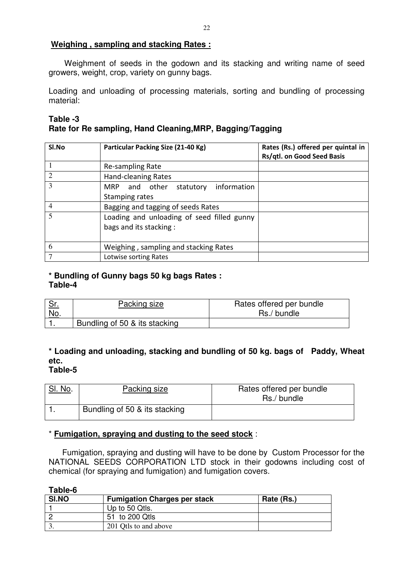### **Weighing , sampling and stacking Rates :**

 Weighment of seeds in the godown and its stacking and writing name of seed growers, weight, crop, variety on gunny bags.

Loading and unloading of processing materials, sorting and bundling of processing material:

#### **Table -3**

# **Rate for Re sampling, Hand Cleaning,MRP, Bagging/Tagging**

| Sl.No          | Particular Packing Size (21-40 Kg)         | Rates (Rs.) offered per quintal in<br>Rs/qtl. on Good Seed Basis |
|----------------|--------------------------------------------|------------------------------------------------------------------|
|                | Re-sampling Rate                           |                                                                  |
| 2              | Hand-cleaning Rates                        |                                                                  |
| $\overline{3}$ | information<br>statutory<br>MRP and other  |                                                                  |
|                | Stamping rates                             |                                                                  |
| $\overline{4}$ | Bagging and tagging of seeds Rates         |                                                                  |
| $\overline{5}$ | Loading and unloading of seed filled gunny |                                                                  |
|                | bags and its stacking:                     |                                                                  |
|                |                                            |                                                                  |
| 6              | Weighing, sampling and stacking Rates      |                                                                  |
| 7              | Lotwise sorting Rates                      |                                                                  |

#### **\* Bundling of Gunny bags 50 kg bags Rates : Table-4**

| <u>ייה</u> | Packing size                  | Rates offered per bundle |
|------------|-------------------------------|--------------------------|
| No.        |                               | Rs./ bundle              |
|            | Bundling of 50 & its stacking |                          |

#### **\* Loading and unloading, stacking and bundling of 50 kg. bags of Paddy, Wheat etc. Table-5**

# SI, No. Packing size Rates offered per bundle Rs./ bundle 1. Bundling of 50 & its stacking

### \* **Fumigation, spraying and dusting to the seed stock** :

 Fumigation, spraying and dusting will have to be done by Custom Processor for the NATIONAL SEEDS CORPORATION LTD stock in their godowns including cost of chemical (for spraying and fumigation) and fumigation covers.

**Table-6** 

| SI.NO | <b>Fumigation Charges per stack</b> | Rate (Rs.) |
|-------|-------------------------------------|------------|
|       | Up to 50 Qtls.                      |            |
|       | 51 to 200 Qtls                      |            |
|       | 201 Otls to and above               |            |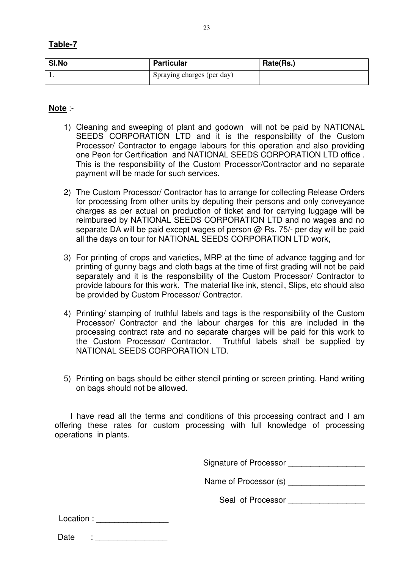| able |  |
|------|--|
|      |  |

| SI.No | <b>Particular</b>          | Rate(Rs.) |
|-------|----------------------------|-----------|
|       | Spraying charges (per day) |           |

### **Note** :-

- 1) Cleaning and sweeping of plant and godown will not be paid by NATIONAL SEEDS CORPORATION LTD and it is the responsibility of the Custom Processor/ Contractor to engage labours for this operation and also providing one Peon for Certification and NATIONAL SEEDS CORPORATION LTD office . This is the responsibility of the Custom Processor/Contractor and no separate payment will be made for such services.
- 2) The Custom Processor/ Contractor has to arrange for collecting Release Orders for processing from other units by deputing their persons and only conveyance charges as per actual on production of ticket and for carrying luggage will be reimbursed by NATIONAL SEEDS CORPORATION LTD and no wages and no separate DA will be paid except wages of person @ Rs. 75/- per day will be paid all the days on tour for NATIONAL SEEDS CORPORATION LTD work,
- 3) For printing of crops and varieties, MRP at the time of advance tagging and for printing of gunny bags and cloth bags at the time of first grading will not be paid separately and it is the responsibility of the Custom Processor/ Contractor to provide labours for this work. The material like ink, stencil, Slips, etc should also be provided by Custom Processor/ Contractor.
- 4) Printing/ stamping of truthful labels and tags is the responsibility of the Custom Processor/ Contractor and the labour charges for this are included in the processing contract rate and no separate charges will be paid for this work to the Custom Processor/ Contractor. Truthful labels shall be supplied by NATIONAL SEEDS CORPORATION LTD.
- 5) Printing on bags should be either stencil printing or screen printing. Hand writing on bags should not be allowed.

 I have read all the terms and conditions of this processing contract and I am offering these rates for custom processing with full knowledge of processing operations in plants.

Signature of Processor **Example 20** 

Name of Processor (s)

Seal of Processor **Example 20** 

| Location: |  |
|-----------|--|
|           |  |

| Date |  |
|------|--|
|      |  |